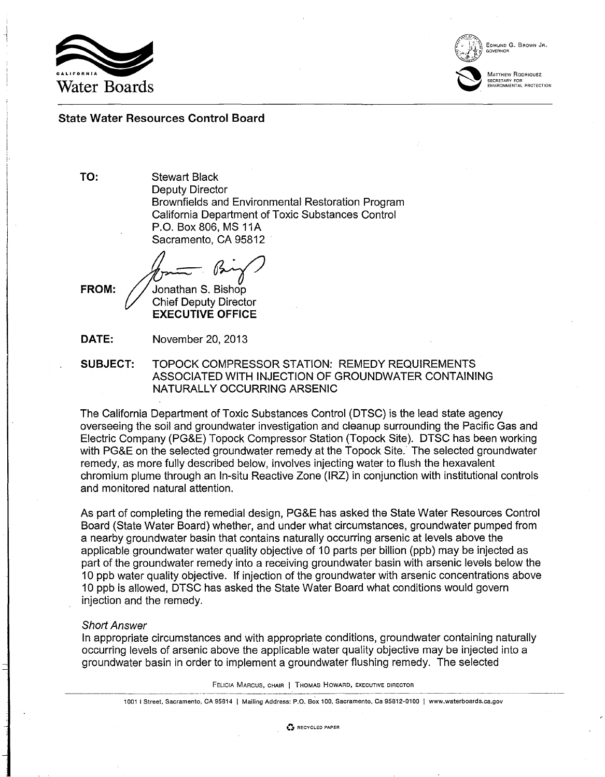

 $\left(\begin{matrix} 1 & 1 \\ 1 & 1 \\ 1 & 1 \end{matrix}\right)$  EDMUND

EDMUND G. BROWN JR. GOVERNOR

MATTHEW RODRIQUEZ  $\sim$ MATTH<br>SECRET SECRETARY FOR ENVIRONMENTAL PROTECTION

# State Water Resources Control Board

TO:

Stewart Black Deputy Director Brownfields and Environmental Restoration Program California Department of Toxic Substances Control P.O. Box 806, MS 11A Sacramento, CA 95812

Jonathan S. Bishop

FROM:

Chief Deputy Director EXECUTIVE OFFICE

DATE: November 20,2013

SUBJECT: TOPOCK COMPRESSOR STATION: REMEDY REQUIREMENTS ASSOCIATED WITH INJECTION OF GROUNDWATER CONTAINING NATURALLY OCCURRING ARSENIC

The California Department of Toxic Substances Control (DTSC) is the lead state agency overseeing the soil and groundwater investigation and cleanup surrounding the Pacific Gas and Electric Company (PG&E) Topock Compressor Station (Topock Site). DTSC has been working with PG&E on the selected groundwater remedy at the Topock Site.' The selected groundwater remedy, as more fully described below, involves injecting water to flush the hexavalent chromium plume through an In-situ Reactive Zone (IRZ) in conjunction with institutional controls and monitored natural attention.

As part of completing the remedial design, PG&E has asked the State Water Resources Control Board (State Water Board) whether, and under what circumstances, groundwater pumped from a nearby groundwater basin that contains naturally occurring arsenic at levels above the applicable groundwater water quality objective of 10 parts per billion (ppb) may be injected as part of the groundwater remedy into a receiving groundwater basin with arsenic levels below the 10 ppb water quality objective. If injection of the groundwater with arsenic concentrations above 10 ppb is allowed, DTSC has asked the State Water Board what conditions would govern injection and the remedy.

# Short Answer

In appropriate circumstances and with appropriate conditions, groundwater containing naturally occurring levels of arsenic above the applicable water quality objective may be injected into a groundwater basin in order to implement a groundwater flushing remedy. The selected

FELICIA MARCUS, CHAIR I THOMAS HOWARD, EXECUTIVE DIRECTOR

1001 I Street, Sacramento, CA 95814 | Mailing Address: P.O. Box 100, Sacramento, Ca 95812-0100 | www.waterboards.ca.gov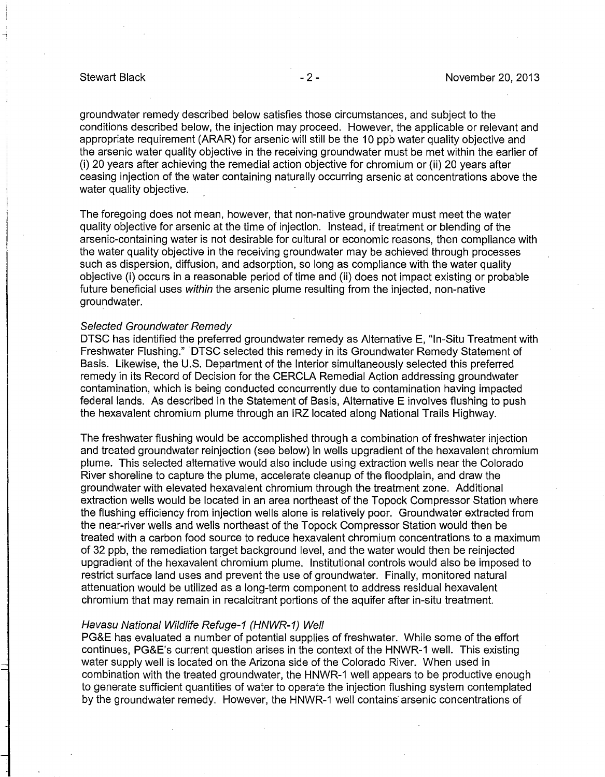groundwater remedy described below satisfies those circumstances, and subject to the conditions described below, the injection may proceed. However, the applicable or relevant and appropriate requirement (ARAR) for arsenic will still be the 10 ppb water quality objective and the arsenic water quality objective in the receiving groundwater must be met within the earlier of (i) 20 years after achieving the remedial action objective for chromium or (ii) 20 years after ceasing injection of the water containing naturally occurring arsenic at concentrations above the water quality objective.

The foregoing does not mean, however, that non-native groundwater must meet the water quality objective for arsenic at the time of injection. Instead, if treatment or blending of the arsenic-containing water is not desirable for cultural or economic reasons, then compliance with the water quality objective in the receiving groundwater may be achieved through processes such as dispersion, diffusion, and adsorption, so long as compliance with the water quality objective (i) occurs in a reasonable period of time and (ii) does not impact existing or probable future beneficial uses within the arsenic plume resulting from the injected, non-native groundwater.

## Selected Groundwater Remedy

DTSC has identified the preferred groundwater remedy as Alternative E, "In-Situ Treatment with Freshwater Flushing." DTSC selected this remedy in its Groundwater Remedy Statement of Basis. Likewise, the U.S. Department of the Interior simultaneously selected this preferred remedy in its Record of Decision for the CERCLA Remedial Action addressing groundwater contamination, which is being conducted concurrently due to contamination having impacted federal lands. As described in the Statement of Basis, Alternative E involves flushing to push the hexavalent chromium plume through an IRZ located along National Trails Highway.

The freshwater flushing would be accomplished through a combination of freshwater injection and treated groundwater reinjection (see below) in wells upgradient of the hexavalent chromium plume. This selected alternative would also include using extraction wells near the Colorado River shoreline to capture the plume, accelerate cleanup of the floodplain, and draw the groundwater with elevated hexavalent chromium through the treatment zone. Additional extraction wells would be located in an area northeast of the Topock Compressor Station where the flushing efficiency from injection wells alone is relatively poor. Groundwater extracted from the near-river wells and wells northeast of the Topock Compressor Station would then be treated with a carbon food source to reduce hexavalent chromium concentrations to a maximum of 32 ppb, the remediation target background level, and the water would then be reinjected upgradient of the hexavalent chromium plume. Institutional controls would also be imposed to restrict surface land uses and prevent the use of groundwater. Finally, monitored natural attenuation would be utilized as a long-term component to address residual hexavalent chromium that may remain in recalcitrant portions of the aquifer after in-situ treatment.

### Havasu National Wildlife Refuge-1 (HNWR-1) Well

PG&E has evaluated a number of potential supplies of freshwater. While some of the effort continues, PG&E's current question arises in the context of the HNWR-1 well. This existing water supply well is located on the Arizona side of the Colorado River. When used in combination with the treated groundwater, the HNWR-1 well appears to be productive enough to generate sufficient quantities of water to operate the injection flushing system contemplated by the groundwater remedy. However, the HNWR-1 well contains' arsenic concentrations of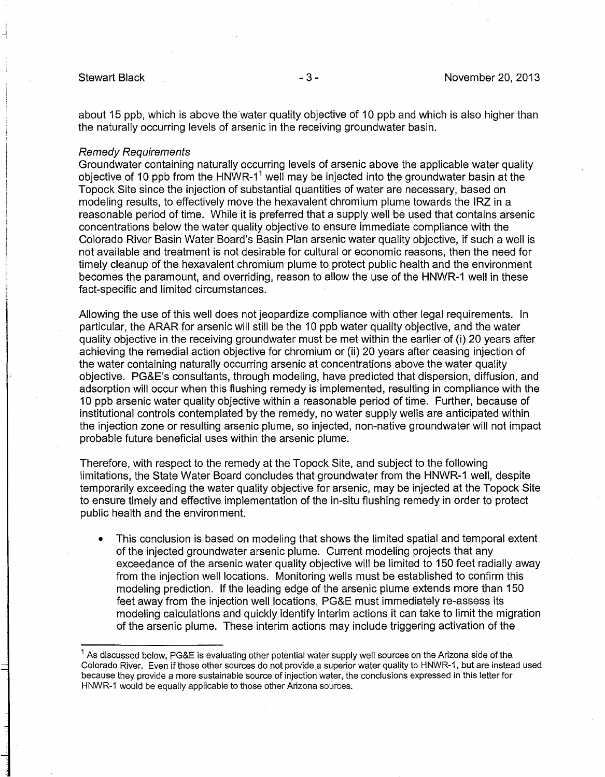about 15 ppb, which is above the water quality objective of 10 ppb and which is also higher than the naturally occurring levels of arsenic in the receiving groundwater basin.

### Remedy Requirements

Groundwater containing naturally occurring levels of arsenic above the applicable water quality objective of 10 ppb from the HNWR-1<sup>1</sup> well may be injected into the groundwater basin at the Topock Site since the injection of substantial quantities of water are necessary, based on modeling results, to effectively move the hexavalent chromium plume towards the IRZ in a reasonable period of time. While it is preferred that a supply well be used that contains arsenic concentrations below the water quality objective to ensure immediate compliance with the Colorado River Basin Water Board's Basin Plan arsenic water quality objective, if such a well is not available and treatment is not desirable for cultural or economic reasons, then the need for timely cleanup of the hexavalent chromium plume to protect public health and the environment becomes the paramount, and overriding, reason to allow the use of the HNWR-1 well in these fact-specific and limited circumstances.

Allowing the use of this well does not jeopardize compliance with other legal requirements. In particular, the ARAR for arsenic will still be the 10 ppb water quality objective, and the water quality objective in the receiving groundwater must be met within the earlier of (i) 20 years after achieving the remedial action objective for chromium or (ii) 20 years after ceasing injection of the water containing naturally occurring arsenic at concentrations above the water quality objective. PG&E's consultants, through modeling, have predicted that dispersion, diffusion, and adsorption will occur when this flushing remedy is implemented, resulting in compliance with the 10 ppb arsenic water quality objective within a reasonable period of time. Further, because of institutional controls contemplated by the remedy, no water supply wells are anticipated within the injection zone or resulting arsenic plume, so injected, non-native groundwater will not impact probable future beneficial uses within the arsenic plume.

Therefore, with respect to the remedy at the Topock Site, and subject to the following limitations, the State Water Board concludes that groundwater from the HNWR-1 well, despite temporarily exceeding the water quality objective for arsenic, may be injected at the Topock Site to ensure timely and effective implementation of the in-situ flushing remedy in order to protect public health and the environment.

• This conclusion is based on modeling that shows the limited spatial and temporal extent of the injected groundwater arsenic plume. Current modeling projects that any exceedance of the arsenic water quality objective will be limited to 150 feet radially away from the injection well locations. Monitoring wells must be established to confirm this modeling prediction. If the leading edge of the arsenic plume extends more than 150 feet away from the injection well locations, PG&E must immediately re-assess its modeling calculations and quickly identify interim actions it can take to limit the migration of the arsenic plume. These interim actions may include triggering activation of the

 $^1$  As discussed below, PG&E is evaluating other potential water supply well sources on the Arizona side of the Colorado River. Even if those other sources do not provide a superior water quality to HNWR-1, but are instead used because they provide a more sustainable source of injection water, the conclusions expressed in this letter for HNWR-1 would be equally applicable to those other Arizona sources.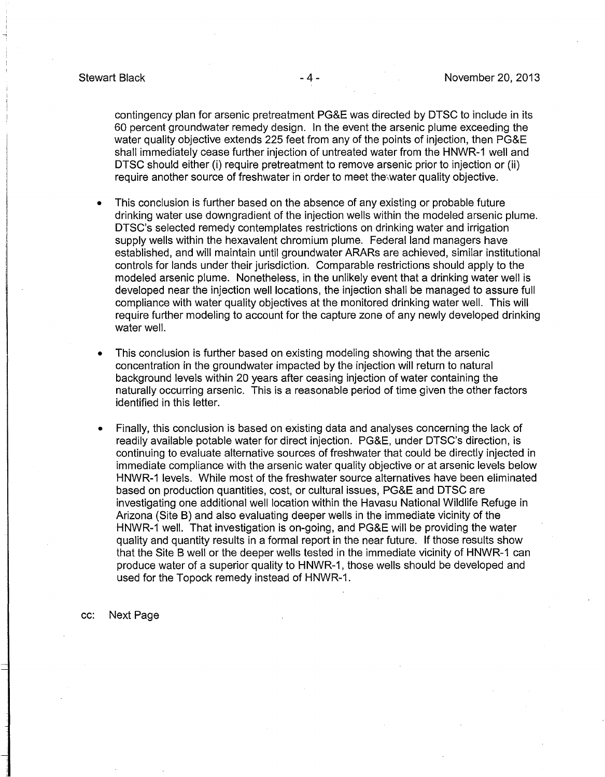contingency plan for arsenic pretreatment PG&E was directed by DTSC to include in its 60 percent groundwater remedy design. In the event the arsenic plume exceeding the water quality objective extends 225 feet from any of the points of injection, then PG&E shall immediately cease further injection of untreated water from the HNWR-1 well and DTSC should either (i) require pretreatment to remove arsenic prior to injection or (ii) require another source of freshwater in order to meet the water quality objective.

- This conclusion is further based on the absence of any existing or probable future drinking water use downgradient of the injection wells within the modeled arsenic plume. DTSC's selected remedy contemplates restrictions on drinking water and irrigation supply wells within the hexavalent chromium plume. Federal land managers have established, and will maintain until groundwater ARARs are achieved, similar institutional controls for lands under their jurisdiction. Comparable restrictions should apply to the modeled arsenic plume. Nonetheless, in the unlikely event that a drinking water well is developed near the injection well locations, the injection shall be managed to assure full compliance with water quality objectives at the monitored drinking water well. This will require further modeling to account for the capture zone of any newly developed drinking water well.
- This conclusion is further based on existing modeling showing that the arsenic concentration in the groundwater impacted by the injection will return to natural background levels within 20 years after ceasing injection of water containing the naturally occurring arsenic. This is a reasonable period of time given the other factors identified in this letter.
- Finally, this conclusion is based on existing data and analyses concerning the lack of readily available potable water for direct injection. PG&E, under DTSC's direction, is continuing to evaluate alternative sources of freshwater that could be directly injected in immediate compliance with the arsenic water quality objective or at arsenic levels below HNWR-1 levels. While most of the freshwater source alternatives have been eliminated based on production quantities, cost, or cultural issues, PG&E and DTSC are investigating one additional well location within the Havasu National Wildlife Refuge in Arizona (Site B) and also evaluating deeper wells in the immediate vicinity of the HNWR-1 well. That investigation is on-going, and PG&E will be providing the water quality and quantity results in a formal report in the near future. If those results show that the Site B well or the deeper wells tested in the immediate vicinity of HNWR-1 can produce water of a superior quality to HNWR-1, those wells should be developed and used for the Topock remedy instead of HNWR-1.

cc: Next Page